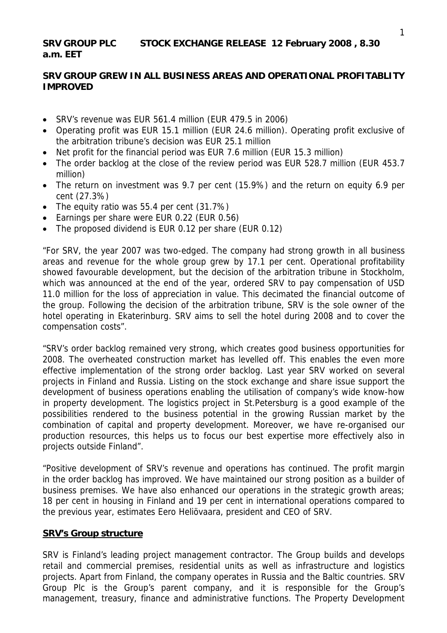# **SRV GROUP PLC STOCK EXCHANGE RELEASE 12 February 2008 , 8.30 a.m. EET**

# **SRV GROUP GREW IN ALL BUSINESS AREAS AND OPERATIONAL PROFITABLITY IMPROVED**

- SRV's revenue was EUR 561.4 million (EUR 479.5 in 2006)
- Operating profit was EUR 15.1 million (EUR 24.6 million). Operating profit exclusive of the arbitration tribune's decision was EUR 25.1 million
- Net profit for the financial period was EUR 7.6 million (EUR 15.3 million)
- The order backlog at the close of the review period was EUR 528.7 million (EUR 453.7) million)
- The return on investment was 9.7 per cent (15.9%) and the return on equity 6.9 per cent (27.3%)
- The equity ratio was 55.4 per cent (31.7%)
- Earnings per share were EUR 0.22 (EUR 0.56)
- The proposed dividend is EUR 0.12 per share (EUR 0.12)

"For SRV, the year 2007 was two-edged. The company had strong growth in all business areas and revenue for the whole group grew by 17.1 per cent. Operational profitability showed favourable development, but the decision of the arbitration tribune in Stockholm, which was announced at the end of the year, ordered SRV to pay compensation of USD 11.0 million for the loss of appreciation in value. This decimated the financial outcome of the group. Following the decision of the arbitration tribune, SRV is the sole owner of the hotel operating in Ekaterinburg. SRV aims to sell the hotel during 2008 and to cover the compensation costs".

"SRV's order backlog remained very strong, which creates good business opportunities for 2008. The overheated construction market has levelled off. This enables the even more effective implementation of the strong order backlog. Last year SRV worked on several projects in Finland and Russia. Listing on the stock exchange and share issue support the development of business operations enabling the utilisation of company's wide know-how in property development. The logistics project in St.Petersburg is a good example of the possibilities rendered to the business potential in the growing Russian market by the combination of capital and property development. Moreover, we have re-organised our production resources, this helps us to focus our best expertise more effectively also in projects outside Finland".

"Positive development of SRV's revenue and operations has continued. The profit margin in the order backlog has improved. We have maintained our strong position as a builder of business premises. We have also enhanced our operations in the strategic growth areas; 18 per cent in housing in Finland and 19 per cent in international operations compared to the previous year, estimates Eero Heliövaara, president and CEO of SRV.

#### **SRV's Group structure**

SRV is Finland's leading project management contractor. The Group builds and develops retail and commercial premises, residential units as well as infrastructure and logistics projects. Apart from Finland, the company operates in Russia and the Baltic countries. SRV Group Plc is the Group's parent company, and it is responsible for the Group's management, treasury, finance and administrative functions. The Property Development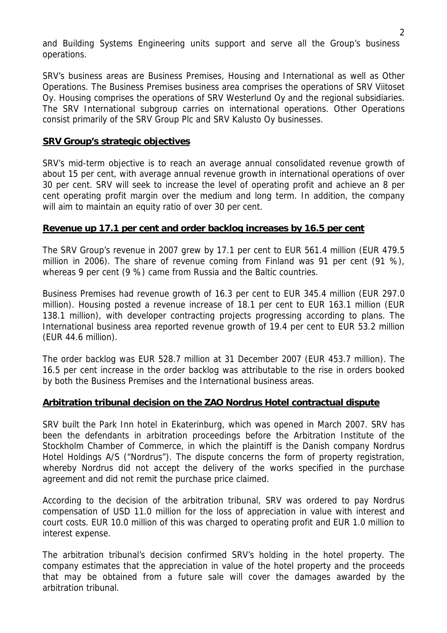and Building Systems Engineering units support and serve all the Group's business operations.

SRV's business areas are Business Premises, Housing and International as well as Other Operations. The Business Premises business area comprises the operations of SRV Viitoset Oy. Housing comprises the operations of SRV Westerlund Oy and the regional subsidiaries. The SRV International subgroup carries on international operations. Other Operations consist primarily of the SRV Group Plc and SRV Kalusto Oy businesses.

## **SRV Group's strategic objectives**

SRV's mid-term objective is to reach an average annual consolidated revenue growth of about 15 per cent, with average annual revenue growth in international operations of over 30 per cent. SRV will seek to increase the level of operating profit and achieve an 8 per cent operating profit margin over the medium and long term. In addition, the company will aim to maintain an equity ratio of over 30 per cent.

#### **Revenue up 17.1 per cent and order backlog increases by 16.5 per cent**

The SRV Group's revenue in 2007 grew by 17.1 per cent to EUR 561.4 million (EUR 479.5 million in 2006). The share of revenue coming from Finland was 91 per cent (91 %), whereas 9 per cent (9 %) came from Russia and the Baltic countries.

Business Premises had revenue growth of 16.3 per cent to EUR 345.4 million (EUR 297.0 million). Housing posted a revenue increase of 18.1 per cent to EUR 163.1 million (EUR 138.1 million), with developer contracting projects progressing according to plans. The International business area reported revenue growth of 19.4 per cent to EUR 53.2 million (EUR 44.6 million).

The order backlog was EUR 528.7 million at 31 December 2007 (EUR 453.7 million). The 16.5 per cent increase in the order backlog was attributable to the rise in orders booked by both the Business Premises and the International business areas.

#### **Arbitration tribunal decision on the ZAO Nordrus Hotel contractual dispute**

SRV built the Park Inn hotel in Ekaterinburg, which was opened in March 2007. SRV has been the defendants in arbitration proceedings before the Arbitration Institute of the Stockholm Chamber of Commerce, in which the plaintiff is the Danish company Nordrus Hotel Holdings A/S ("Nordrus"). The dispute concerns the form of property registration, whereby Nordrus did not accept the delivery of the works specified in the purchase agreement and did not remit the purchase price claimed.

According to the decision of the arbitration tribunal, SRV was ordered to pay Nordrus compensation of USD 11.0 million for the loss of appreciation in value with interest and court costs. EUR 10.0 million of this was charged to operating profit and EUR 1.0 million to interest expense.

The arbitration tribunal's decision confirmed SRV's holding in the hotel property. The company estimates that the appreciation in value of the hotel property and the proceeds that may be obtained from a future sale will cover the damages awarded by the arbitration tribunal.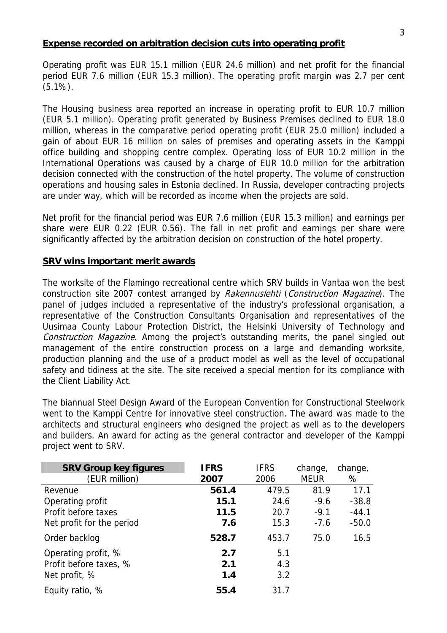# **Expense recorded on arbitration decision cuts into operating profit**

Operating profit was EUR 15.1 million (EUR 24.6 million) and net profit for the financial period EUR 7.6 million (EUR 15.3 million). The operating profit margin was 2.7 per cent (5.1%).

The Housing business area reported an increase in operating profit to EUR 10.7 million (EUR 5.1 million). Operating profit generated by Business Premises declined to EUR 18.0 million, whereas in the comparative period operating profit (EUR 25.0 million) included a gain of about EUR 16 million on sales of premises and operating assets in the Kamppi office building and shopping centre complex. Operating loss of EUR 10.2 million in the International Operations was caused by a charge of EUR 10.0 million for the arbitration decision connected with the construction of the hotel property. The volume of construction operations and housing sales in Estonia declined. In Russia, developer contracting projects are under way, which will be recorded as income when the projects are sold.

Net profit for the financial period was EUR 7.6 million (EUR 15.3 million) and earnings per share were EUR 0.22 (EUR 0.56). The fall in net profit and earnings per share were significantly affected by the arbitration decision on construction of the hotel property.

# **SRV wins important merit awards**

The worksite of the Flamingo recreational centre which SRV builds in Vantaa won the best construction site 2007 contest arranged by Rakennuslehti (Construction Magazine). The panel of judges included a representative of the industry's professional organisation, a representative of the Construction Consultants Organisation and representatives of the Uusimaa County Labour Protection District, the Helsinki University of Technology and Construction Magazine. Among the project's outstanding merits, the panel singled out management of the entire construction process on a large and demanding worksite, production planning and the use of a product model as well as the level of occupational safety and tidiness at the site. The site received a special mention for its compliance with the Client Liability Act.

The biannual Steel Design Award of the European Convention for Constructional Steelwork went to the Kamppi Centre for innovative steel construction. The award was made to the architects and structural engineers who designed the project as well as to the developers and builders. An award for acting as the general contractor and developer of the Kamppi project went to SRV.

| <b>SRV Group key figures</b> | <b>IFRS</b> | <b>IFRS</b> | change,     | change, |
|------------------------------|-------------|-------------|-------------|---------|
| (EUR million)                | 2007        | 2006        | <b>MEUR</b> | %       |
| Revenue                      | 561.4       | 479.5       | 81.9        | 17.1    |
| Operating profit             | 15.1        | 24.6        | $-9.6$      | $-38.8$ |
| Profit before taxes          | 11.5        | 20.7        | $-9.1$      | $-44.1$ |
| Net profit for the period    | 7.6         | 15.3        | $-7.6$      | $-50.0$ |
| Order backlog                | 528.7       | 453.7       | 75.0        | 16.5    |
| Operating profit, %          | 2.7         | 5.1         |             |         |
| Profit before taxes, %       | 2.1         | 4.3         |             |         |
| Net profit, %                | 1.4         | 3.2         |             |         |
| Equity ratio, %              | 55.4        | 31.7        |             |         |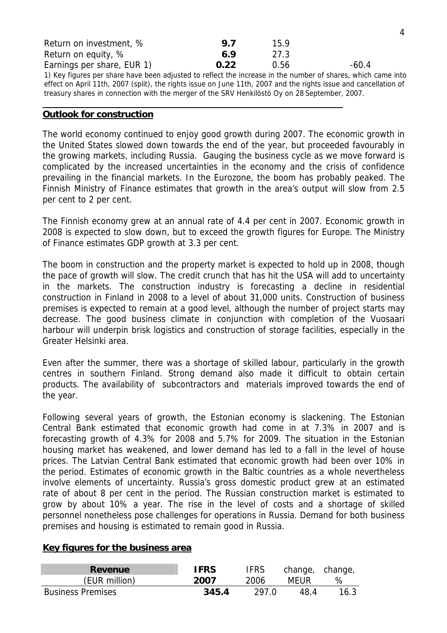| Return on investment, %                                                                                          | 9.7  | 15.9 |       |
|------------------------------------------------------------------------------------------------------------------|------|------|-------|
| Return on equity, %                                                                                              | 6.9  | 27.3 |       |
| Earnings per share, EUR 1)                                                                                       | 0.22 | 0.56 | -60.4 |
| 1) Key figures per share have been adjusted to reflect the increase in the number of shares, which came into     |      |      |       |
| effect on April 11th, 2007 (split), the rights issue on June 11th, 2007 and the rights issue and cancellation of |      |      |       |
| treasury shares in connection with the merger of the SRV Henkilöstö Oy on 28 September, 2007.                    |      |      |       |

#### **Outlook for construction**

The world economy continued to enjoy good growth during 2007. The economic growth in the United States slowed down towards the end of the year, but proceeded favourably in the growing markets, including Russia. Gauging the business cycle as we move forward is complicated by the increased uncertainties in the economy and the crisis of confidence prevailing in the financial markets. In the Eurozone, the boom has probably peaked. The Finnish Ministry of Finance estimates that growth in the area's output will slow from 2.5 per cent to 2 per cent.

The Finnish economy grew at an annual rate of 4.4 per cent in 2007. Economic growth in 2008 is expected to slow down, but to exceed the growth figures for Europe. The Ministry of Finance estimates GDP growth at 3.3 per cent.

The boom in construction and the property market is expected to hold up in 2008, though the pace of growth will slow. The credit crunch that has hit the USA will add to uncertainty in the markets. The construction industry is forecasting a decline in residential construction in Finland in 2008 to a level of about 31,000 units. Construction of business premises is expected to remain at a good level, although the number of project starts may decrease. The good business climate in conjunction with completion of the Vuosaari harbour will underpin brisk logistics and construction of storage facilities, especially in the Greater Helsinki area.

Even after the summer, there was a shortage of skilled labour, particularly in the growth centres in southern Finland. Strong demand also made it difficult to obtain certain products. The availability of subcontractors and materials improved towards the end of the year.

Following several years of growth, the Estonian economy is slackening. The Estonian Central Bank estimated that economic growth had come in at 7.3% in 2007 and is forecasting growth of 4.3% for 2008 and 5.7% for 2009. The situation in the Estonian housing market has weakened, and lower demand has led to a fall in the level of house prices. The Latvian Central Bank estimated that economic growth had been over 10% in the period. Estimates of economic growth in the Baltic countries as a whole nevertheless involve elements of uncertainty. Russia's gross domestic product grew at an estimated rate of about 8 per cent in the period. The Russian construction market is estimated to grow by about 10% a year. The rise in the level of costs and a shortage of skilled personnel nonetheless pose challenges for operations in Russia. Demand for both business premises and housing is estimated to remain good in Russia.

#### **Key figures for the business area**

| <b>Revenue</b>           | <b>IFRS</b> | <b>IFRS</b> | change, change, |      |
|--------------------------|-------------|-------------|-----------------|------|
| (EUR million)            | 2007        | 2006        | MFUR            | $\%$ |
| <b>Business Premises</b> | 345.4       | 297.0       | 48.4            | 16.3 |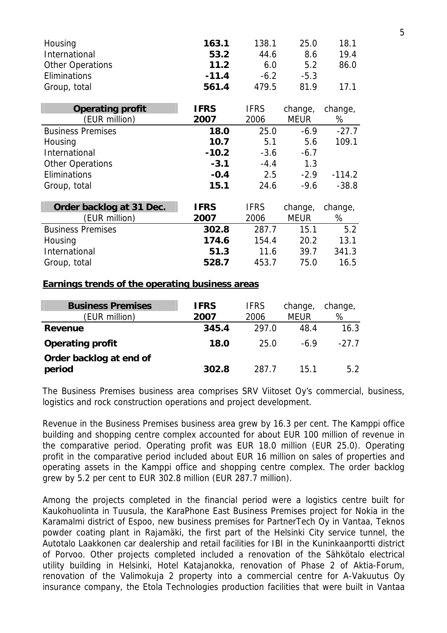| Housing                  | 163.1       | 138.1       | 25.0        | 18.1     |
|--------------------------|-------------|-------------|-------------|----------|
| International            | 53.2        | 44.6        | 8.6         | 19.4     |
| <b>Other Operations</b>  | 11.2        | 6.0         | 5.2         | 86.0     |
| Eliminations             | $-11.4$     | $-6.2$      | $-5.3$      |          |
| Group, total             | 561.4       | 479.5       | 81.9        | 17.1     |
|                          |             |             |             |          |
| <b>Operating profit</b>  | <b>IFRS</b> | <b>IFRS</b> | change,     | change,  |
| (EUR million)            | 2007        | 2006        | <b>MEUR</b> | %        |
| <b>Business Premises</b> | 18.0        | 25.0        | $-6.9$      | $-27.7$  |
| Housing                  | 10.7        | 5.1         | 5.6         | 109.1    |
| International            | $-10.2$     | $-3.6$      | $-6.7$      |          |
| <b>Other Operations</b>  | $-3.1$      | $-4.4$      | 1.3         |          |
| Eliminations             | $-0.4$      | 2.5         | $-2.9$      | $-114.2$ |
| Group, total             | 15.1        | 24.6        | $-9.6$      | $-38.8$  |
|                          |             |             |             |          |
| Order backlog at 31 Dec. | <b>IFRS</b> | <b>IFRS</b> | change,     | change,  |
| (EUR million)            | 2007        | 2006        | <b>MEUR</b> | %        |
| <b>Business Premises</b> | 302.8       | 287.7       | 15.1        | 5.2      |
| Housing                  | 174.6       | 154.4       | 20.2        | 13.1     |
| International            | 51.3        | 11.6        | 39.7        | 341.3    |
| Group, total             | 528.7       | 453.7       | 75.0        | 16.5     |

#### **Earnings trends of the operating business areas**

| <b>Business Premises</b><br>(EUR million) | <b>IFRS</b><br>2007 | <b>IFRS</b><br>2006 | change,<br><b>MEUR</b> | change,<br>% |
|-------------------------------------------|---------------------|---------------------|------------------------|--------------|
| Revenue                                   | 345.4               | 297.0               | 48.4                   | 16.3         |
| <b>Operating profit</b>                   | 18.0                | 25.0                | -69                    | $-27.7$      |
| Order backlog at end of<br>period         | 302.8               | 287 7               | 15.1                   | 5.2          |

The Business Premises business area comprises SRV Viitoset Oy's commercial, business, logistics and rock construction operations and project development.

Revenue in the Business Premises business area grew by 16.3 per cent. The Kamppi office building and shopping centre complex accounted for about EUR 100 million of revenue in the comparative period. Operating profit was EUR 18.0 million (EUR 25.0). Operating profit in the comparative period included about EUR 16 million on sales of properties and operating assets in the Kamppi office and shopping centre complex. The order backlog grew by 5.2 per cent to EUR 302.8 million (EUR 287.7 million).

Among the projects completed in the financial period were a logistics centre built for Kaukohuolinta in Tuusula, the KaraPhone East Business Premises project for Nokia in the Karamalmi district of Espoo, new business premises for PartnerTech Oy in Vantaa, Teknos powder coating plant in Rajamäki, the first part of the Helsinki City service tunnel, the Autotalo Laakkonen car dealership and retail facilities for IBI in the Kuninkaanportti district of Porvoo. Other projects completed included a renovation of the Sähkötalo electrical utility building in Helsinki, Hotel Katajanokka, renovation of Phase 2 of Aktia-Forum, renovation of the Valimokuja 2 property into a commercial centre for A-Vakuutus Oy insurance company, the Etola Technologies production facilities that were built in Vantaa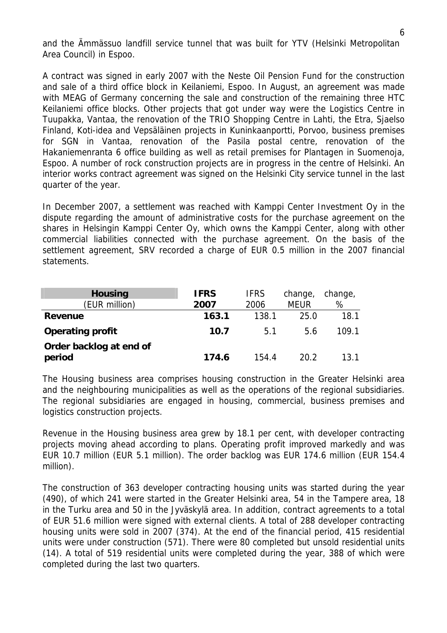and the Ämmässuo landfill service tunnel that was built for YTV (Helsinki Metropolitan Area Council) in Espoo.

A contract was signed in early 2007 with the Neste Oil Pension Fund for the construction and sale of a third office block in Keilaniemi, Espoo. In August, an agreement was made with MEAG of Germany concerning the sale and construction of the remaining three HTC Keilaniemi office blocks. Other projects that got under way were the Logistics Centre in Tuupakka, Vantaa, the renovation of the TRIO Shopping Centre in Lahti, the Etra, Sjaelso Finland, Koti-idea and Vepsäläinen projects in Kuninkaanportti, Porvoo, business premises for SGN in Vantaa, renovation of the Pasila postal centre, renovation of the Hakaniemenranta 6 office building as well as retail premises for Plantagen in Suomenoja, Espoo. A number of rock construction projects are in progress in the centre of Helsinki. An interior works contract agreement was signed on the Helsinki City service tunnel in the last quarter of the year.

In December 2007, a settlement was reached with Kamppi Center Investment Oy in the dispute regarding the amount of administrative costs for the purchase agreement on the shares in Helsingin Kamppi Center Oy, which owns the Kamppi Center, along with other commercial liabilities connected with the purchase agreement. On the basis of the settlement agreement, SRV recorded a charge of EUR 0.5 million in the 2007 financial statements.

| <b>Housing</b><br>(EUR million)   | <b>IFRS</b><br><b>IFRS</b><br>change,<br><b>MEUR</b><br>2006<br>2007 |       |      | change,<br>% |
|-----------------------------------|----------------------------------------------------------------------|-------|------|--------------|
| Revenue                           | 163.1                                                                | 138.1 | 25.0 | 18.1         |
| <b>Operating profit</b>           | 10.7                                                                 | 5.1   | 5.6  | 109.1        |
| Order backlog at end of<br>period | 174.6                                                                | 154.4 | 20.2 | 13.1         |

The Housing business area comprises housing construction in the Greater Helsinki area and the neighbouring municipalities as well as the operations of the regional subsidiaries. The regional subsidiaries are engaged in housing, commercial, business premises and logistics construction projects.

Revenue in the Housing business area grew by 18.1 per cent, with developer contracting projects moving ahead according to plans. Operating profit improved markedly and was EUR 10.7 million (EUR 5.1 million). The order backlog was EUR 174.6 million (EUR 154.4 million).

The construction of 363 developer contracting housing units was started during the year (490), of which 241 were started in the Greater Helsinki area, 54 in the Tampere area, 18 in the Turku area and 50 in the Jyväskylä area. In addition, contract agreements to a total of EUR 51.6 million were signed with external clients. A total of 288 developer contracting housing units were sold in 2007 (374). At the end of the financial period, 415 residential units were under construction (571). There were 80 completed but unsold residential units (14). A total of 519 residential units were completed during the year, 388 of which were completed during the last two quarters.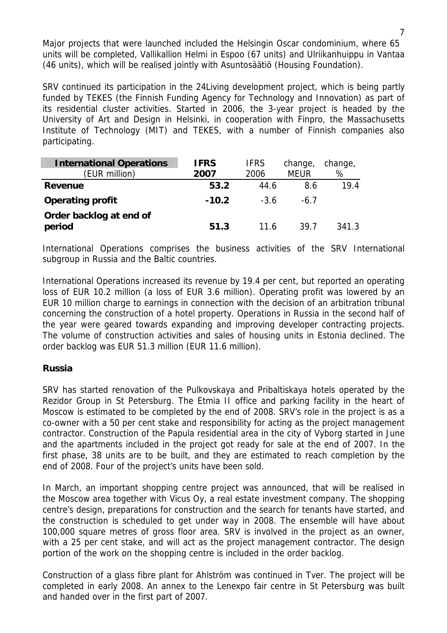Major projects that were launched included the Helsingin Oscar condominium, where 65 units will be completed, Vallikallion Helmi in Espoo (67 units) and Ulriikanhuippu in Vantaa (46 units), which will be realised jointly with Asuntosäätiö (Housing Foundation).

SRV continued its participation in the 24Living development project, which is being partly funded by TEKES (the Finnish Funding Agency for Technology and Innovation) as part of its residential cluster activities. Started in 2006, the 3-year project is headed by the University of Art and Design in Helsinki, in cooperation with Finpro, the Massachusetts Institute of Technology (MIT) and TEKES, with a number of Finnish companies also participating.

| <b>International Operations</b> | <b>IFRS</b><br><b>IFRS</b> |        |             |       |  |  | change, |  |
|---------------------------------|----------------------------|--------|-------------|-------|--|--|---------|--|
| (EUR million)                   | 2007                       | 2006   | <b>MEUR</b> | %     |  |  |         |  |
| Revenue                         | 53.2                       | 44.6   | 8.6         | 19.4  |  |  |         |  |
| <b>Operating profit</b>         | $-10.2$                    | $-3.6$ | $-6.7$      |       |  |  |         |  |
| Order backlog at end of         |                            |        |             |       |  |  |         |  |
| period                          | 51.3                       | 11 6   | 39.7        | 341.3 |  |  |         |  |

International Operations comprises the business activities of the SRV International subgroup in Russia and the Baltic countries.

International Operations increased its revenue by 19.4 per cent, but reported an operating loss of EUR 10.2 million (a loss of EUR 3.6 million). Operating profit was lowered by an EUR 10 million charge to earnings in connection with the decision of an arbitration tribunal concerning the construction of a hotel property. Operations in Russia in the second half of the year were geared towards expanding and improving developer contracting projects. The volume of construction activities and sales of housing units in Estonia declined. The order backlog was EUR 51.3 million (EUR 11.6 million).

# **Russia**

SRV has started renovation of the Pulkovskaya and Pribaltiskaya hotels operated by the Rezidor Group in St Petersburg. The Etmia II office and parking facility in the heart of Moscow is estimated to be completed by the end of 2008. SRV's role in the project is as a co-owner with a 50 per cent stake and responsibility for acting as the project management contractor. Construction of the Papula residential area in the city of Vyborg started in June and the apartments included in the project got ready for sale at the end of 2007. In the first phase, 38 units are to be built, and they are estimated to reach completion by the end of 2008. Four of the project's units have been sold.

In March, an important shopping centre project was announced, that will be realised in the Moscow area together with Vicus Oy, a real estate investment company. The shopping centre's design, preparations for construction and the search for tenants have started, and the construction is scheduled to get under way in 2008. The ensemble will have about 100,000 square metres of gross floor area. SRV is involved in the project as an owner, with a 25 per cent stake, and will act as the project management contractor. The design portion of the work on the shopping centre is included in the order backlog.

Construction of a glass fibre plant for Ahlström was continued in Tver. The project will be completed in early 2008. An annex to the Lenexpo fair centre in St Petersburg was built and handed over in the first part of 2007.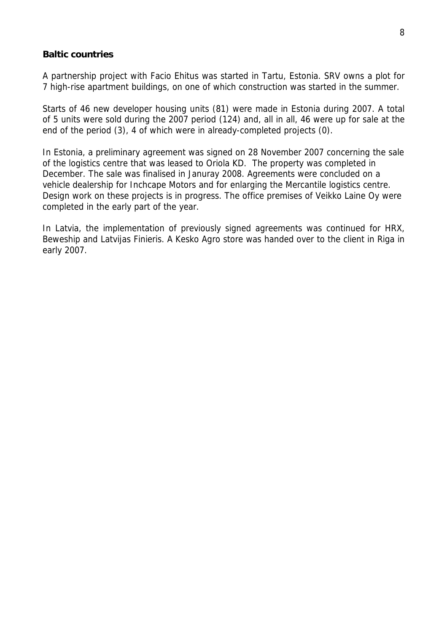# **Baltic countries**

A partnership project with Facio Ehitus was started in Tartu, Estonia. SRV owns a plot for 7 high-rise apartment buildings, on one of which construction was started in the summer.

Starts of 46 new developer housing units (81) were made in Estonia during 2007. A total of 5 units were sold during the 2007 period (124) and, all in all, 46 were up for sale at the end of the period (3), 4 of which were in already-completed projects (0).

In Estonia, a preliminary agreement was signed on 28 November 2007 concerning the sale of the logistics centre that was leased to Oriola KD. The property was completed in December. The sale was finalised in Januray 2008. Agreements were concluded on a vehicle dealership for Inchcape Motors and for enlarging the Mercantile logistics centre. Design work on these projects is in progress. The office premises of Veikko Laine Oy were completed in the early part of the year.

In Latvia, the implementation of previously signed agreements was continued for HRX, Beweship and Latvijas Finieris. A Kesko Agro store was handed over to the client in Riga in early 2007.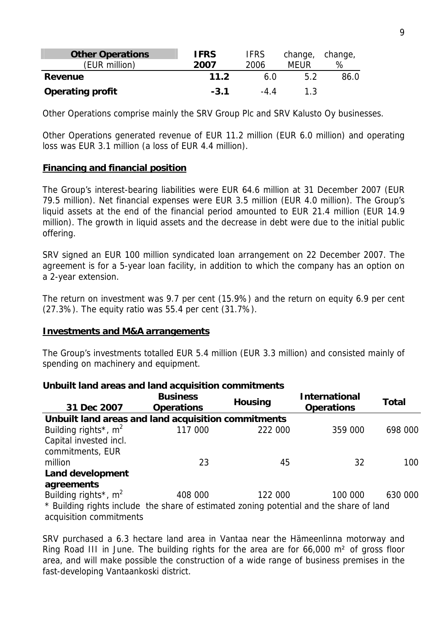| <b>Other Operations</b> | <b>IFRS</b> | <b>IFRS</b> | change, change, |      |
|-------------------------|-------------|-------------|-----------------|------|
| (EUR million)           | 2007        | 2006        | MEUR            | %    |
| Revenue                 | 11.2        | 60          | 52              | 86.0 |
| <b>Operating profit</b> | $-3.1$      | -44         | 1 ?             |      |

Other Operations comprise mainly the SRV Group Plc and SRV Kalusto Oy businesses.

Other Operations generated revenue of EUR 11.2 million (EUR 6.0 million) and operating loss was EUR 3.1 million (a loss of EUR 4.4 million).

#### **Financing and financial position**

The Group's interest-bearing liabilities were EUR 64.6 million at 31 December 2007 (EUR 79.5 million). Net financial expenses were EUR 3.5 million (EUR 4.0 million). The Group's liquid assets at the end of the financial period amounted to EUR 21.4 million (EUR 14.9 million). The growth in liquid assets and the decrease in debt were due to the initial public offering.

SRV signed an EUR 100 million syndicated loan arrangement on 22 December 2007. The agreement is for a 5-year loan facility, in addition to which the company has an option on a 2-year extension.

The return on investment was 9.7 per cent (15.9%) and the return on equity 6.9 per cent (27.3%). The equity ratio was 55.4 per cent (31.7%).

#### **Investments and M&A arrangements**

The Group's investments totalled EUR 5.4 million (EUR 3.3 million) and consisted mainly of spending on machinery and equipment.

#### **Unbuilt land areas and land acquisition commitments 31 Dec 2007 Business Operations Housing International Operations Total Unbuilt land areas and land acquisition commitments**   $B_{\text{u}}$  117 000 222 000 259 000 698 000 000  $259.000$  698 000 698 000 698 000 698 000 698 000 698 000 698 000 698 000 698 000 698 000 698 000 698 000 698 000 698 000 698 000 698 000 698 000 698 000 698 000 698 000 698 0

| 117 UUU | ZZZ UUU | 559 UUU | 0YO UUU                                                                                 |
|---------|---------|---------|-----------------------------------------------------------------------------------------|
|         |         |         |                                                                                         |
|         |         |         |                                                                                         |
| 23      | 45      | 32      | 100                                                                                     |
|         |         |         |                                                                                         |
|         |         |         |                                                                                         |
| 408 000 | 122 000 | 100 000 | 630 000                                                                                 |
|         |         |         |                                                                                         |
|         |         |         |                                                                                         |
|         |         |         | * Building rights include the share of estimated zoning potential and the share of land |

SRV purchased a 6.3 hectare land area in Vantaa near the Hämeenlinna motorway and Ring Road III in June. The building rights for the area are for 66,000 m² of gross floor area, and will make possible the construction of a wide range of business premises in the fast-developing Vantaankoski district.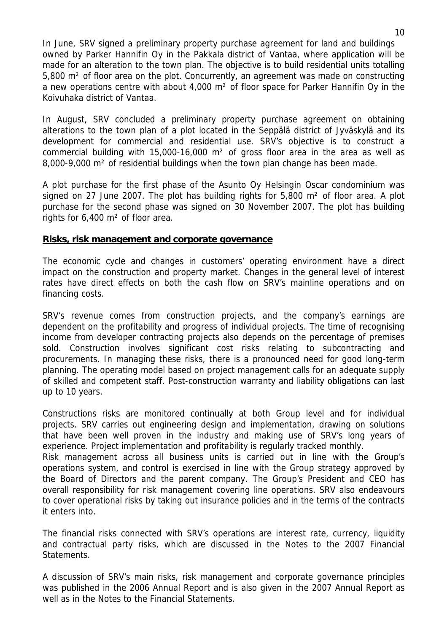In June, SRV signed a preliminary property purchase agreement for land and buildings owned by Parker Hannifin Oy in the Pakkala district of Vantaa, where application will be made for an alteration to the town plan. The objective is to build residential units totalling 5,800 m² of floor area on the plot. Concurrently, an agreement was made on constructing a new operations centre with about 4,000 m² of floor space for Parker Hannifin Oy in the Koivuhaka district of Vantaa.

In August, SRV concluded a preliminary property purchase agreement on obtaining alterations to the town plan of a plot located in the Seppälä district of Jyväskylä and its development for commercial and residential use. SRV's objective is to construct a commercial building with 15,000-16,000 m² of gross floor area in the area as well as 8,000-9,000 m² of residential buildings when the town plan change has been made.

A plot purchase for the first phase of the Asunto Oy Helsingin Oscar condominium was signed on 27 June 2007. The plot has building rights for  $5,800$  m<sup>2</sup> of floor area. A plot purchase for the second phase was signed on 30 November 2007. The plot has building rights for 6,400 m² of floor area.

#### **Risks, risk management and corporate governance**

The economic cycle and changes in customers' operating environment have a direct impact on the construction and property market. Changes in the general level of interest rates have direct effects on both the cash flow on SRV's mainline operations and on financing costs.

SRV's revenue comes from construction projects, and the company's earnings are dependent on the profitability and progress of individual projects. The time of recognising income from developer contracting projects also depends on the percentage of premises sold. Construction involves significant cost risks relating to subcontracting and procurements. In managing these risks, there is a pronounced need for good long-term planning. The operating model based on project management calls for an adequate supply of skilled and competent staff. Post-construction warranty and liability obligations can last up to 10 years.

Constructions risks are monitored continually at both Group level and for individual projects. SRV carries out engineering design and implementation, drawing on solutions that have been well proven in the industry and making use of SRV's long years of experience. Project implementation and profitability is regularly tracked monthly. Risk management across all business units is carried out in line with the Group's operations system, and control is exercised in line with the Group strategy approved by the Board of Directors and the parent company. The Group's President and CEO has overall responsibility for risk management covering line operations. SRV also endeavours to cover operational risks by taking out insurance policies and in the terms of the contracts it enters into.

The financial risks connected with SRV's operations are interest rate, currency, liquidity and contractual party risks, which are discussed in the Notes to the 2007 Financial Statements.

A discussion of SRV's main risks, risk management and corporate governance principles was published in the 2006 Annual Report and is also given in the 2007 Annual Report as well as in the Notes to the Financial Statements.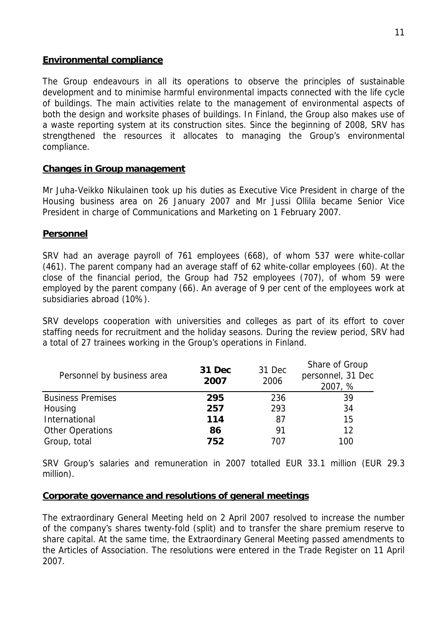## **Environmental compliance**

The Group endeavours in all its operations to observe the principles of sustainable development and to minimise harmful environmental impacts connected with the life cycle of buildings. The main activities relate to the management of environmental aspects of both the design and worksite phases of buildings. In Finland, the Group also makes use of a waste reporting system at its construction sites. Since the beginning of 2008, SRV has strengthened the resources it allocates to managing the Group's environmental compliance.

## **Changes in Group management**

Mr Juha-Veikko Nikulainen took up his duties as Executive Vice President in charge of the Housing business area on 26 January 2007 and Mr Jussi Ollila became Senior Vice President in charge of Communications and Marketing on 1 February 2007.

## **Personnel**

SRV had an average payroll of 761 employees (668), of whom 537 were white-collar (461). The parent company had an average staff of 62 white-collar employees (60). At the close of the financial period, the Group had 752 employees (707), of whom 59 were employed by the parent company (66). An average of 9 per cent of the employees work at subsidiaries abroad (10%).

SRV develops cooperation with universities and colleges as part of its effort to cover staffing needs for recruitment and the holiday seasons. During the review period, SRV had a total of 27 trainees working in the Group's operations in Finland.

| Personnel by business area | 31 Dec<br>2007 | 31 Dec<br>2006 | Share of Group<br>personnel, 31 Dec<br>2007, % |
|----------------------------|----------------|----------------|------------------------------------------------|
| <b>Business Premises</b>   | 295            | 236            | 39                                             |
| Housing                    | 257            | 293            | 34                                             |
| International              | 114            | 87             | 15                                             |
| <b>Other Operations</b>    | 86             | 91             | 12                                             |
| Group, total               | 752            | 707            | 100                                            |

SRV Group's salaries and remuneration in 2007 totalled EUR 33.1 million (EUR 29.3 million).

## **Corporate governance and resolutions of general meetings**

The extraordinary General Meeting held on 2 April 2007 resolved to increase the number of the company's shares twenty-fold (split) and to transfer the share premium reserve to share capital. At the same time, the Extraordinary General Meeting passed amendments to the Articles of Association. The resolutions were entered in the Trade Register on 11 April 2007.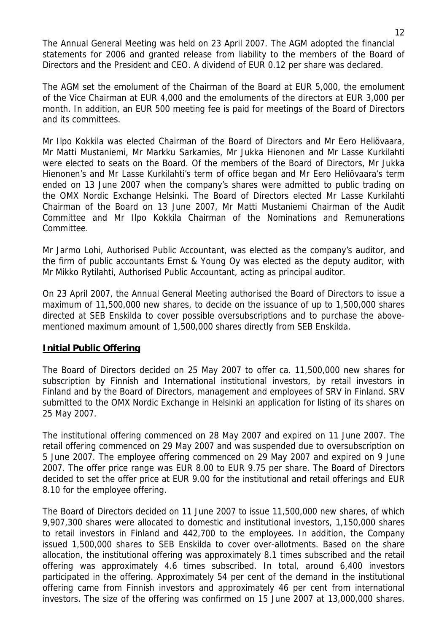The Annual General Meeting was held on 23 April 2007. The AGM adopted the financial statements for 2006 and granted release from liability to the members of the Board of Directors and the President and CEO. A dividend of EUR 0.12 per share was declared.

The AGM set the emolument of the Chairman of the Board at EUR 5,000, the emolument of the Vice Chairman at EUR 4,000 and the emoluments of the directors at EUR 3,000 per month. In addition, an EUR 500 meeting fee is paid for meetings of the Board of Directors and its committees.

Mr Ilpo Kokkila was elected Chairman of the Board of Directors and Mr Eero Heliövaara, Mr Matti Mustaniemi, Mr Markku Sarkamies, Mr Jukka Hienonen and Mr Lasse Kurkilahti were elected to seats on the Board. Of the members of the Board of Directors, Mr Jukka Hienonen's and Mr Lasse Kurkilahti's term of office began and Mr Eero Heliövaara's term ended on 13 June 2007 when the company's shares were admitted to public trading on the OMX Nordic Exchange Helsinki. The Board of Directors elected Mr Lasse Kurkilahti Chairman of the Board on 13 June 2007, Mr Matti Mustaniemi Chairman of the Audit Committee and Mr Ilpo Kokkila Chairman of the Nominations and Remunerations Committee.

Mr Jarmo Lohi, Authorised Public Accountant, was elected as the company's auditor, and the firm of public accountants Ernst & Young Oy was elected as the deputy auditor, with Mr Mikko Rytilahti, Authorised Public Accountant, acting as principal auditor.

On 23 April 2007, the Annual General Meeting authorised the Board of Directors to issue a maximum of 11,500,000 new shares, to decide on the issuance of up to 1,500,000 shares directed at SEB Enskilda to cover possible oversubscriptions and to purchase the abovementioned maximum amount of 1,500,000 shares directly from SEB Enskilda.

## **Initial Public Offering**

The Board of Directors decided on 25 May 2007 to offer ca. 11,500,000 new shares for subscription by Finnish and International institutional investors, by retail investors in Finland and by the Board of Directors, management and employees of SRV in Finland. SRV submitted to the OMX Nordic Exchange in Helsinki an application for listing of its shares on 25 May 2007.

The institutional offering commenced on 28 May 2007 and expired on 11 June 2007. The retail offering commenced on 29 May 2007 and was suspended due to oversubscription on 5 June 2007. The employee offering commenced on 29 May 2007 and expired on 9 June 2007. The offer price range was EUR 8.00 to EUR 9.75 per share. The Board of Directors decided to set the offer price at EUR 9.00 for the institutional and retail offerings and EUR 8.10 for the employee offering.

The Board of Directors decided on 11 June 2007 to issue 11,500,000 new shares, of which 9,907,300 shares were allocated to domestic and institutional investors, 1,150,000 shares to retail investors in Finland and 442,700 to the employees. In addition, the Company issued 1,500,000 shares to SEB Enskilda to cover over-allotments. Based on the share allocation, the institutional offering was approximately 8.1 times subscribed and the retail offering was approximately 4.6 times subscribed. In total, around 6,400 investors participated in the offering. Approximately 54 per cent of the demand in the institutional offering came from Finnish investors and approximately 46 per cent from international investors. The size of the offering was confirmed on 15 June 2007 at 13,000,000 shares.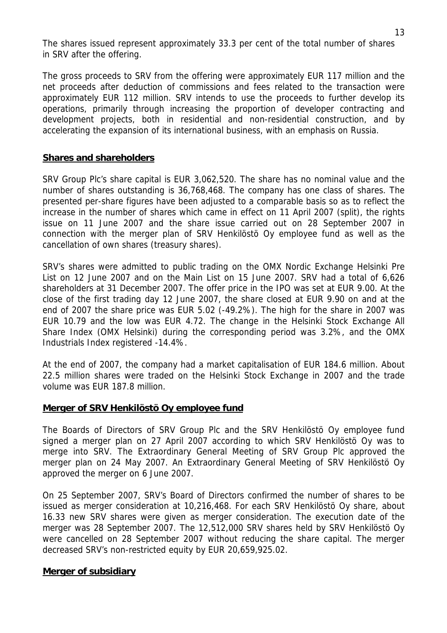The shares issued represent approximately 33.3 per cent of the total number of shares in SRV after the offering.

The gross proceeds to SRV from the offering were approximately EUR 117 million and the net proceeds after deduction of commissions and fees related to the transaction were approximately EUR 112 million. SRV intends to use the proceeds to further develop its operations, primarily through increasing the proportion of developer contracting and development projects, both in residential and non-residential construction, and by accelerating the expansion of its international business, with an emphasis on Russia.

# **Shares and shareholders**

SRV Group Plc's share capital is EUR 3,062,520. The share has no nominal value and the number of shares outstanding is 36,768,468. The company has one class of shares. The presented per-share figures have been adjusted to a comparable basis so as to reflect the increase in the number of shares which came in effect on 11 April 2007 (split), the rights issue on 11 June 2007 and the share issue carried out on 28 September 2007 in connection with the merger plan of SRV Henkilöstö Oy employee fund as well as the cancellation of own shares (treasury shares).

SRV's shares were admitted to public trading on the OMX Nordic Exchange Helsinki Pre List on 12 June 2007 and on the Main List on 15 June 2007. SRV had a total of 6,626 shareholders at 31 December 2007. The offer price in the IPO was set at EUR 9.00. At the close of the first trading day 12 June 2007, the share closed at EUR 9.90 on and at the end of 2007 the share price was EUR 5.02 (-49.2%). The high for the share in 2007 was EUR 10.79 and the low was EUR 4.72. The change in the Helsinki Stock Exchange All Share Index (OMX Helsinki) during the corresponding period was 3.2%, and the OMX Industrials Index registered -14.4%.

At the end of 2007, the company had a market capitalisation of EUR 184.6 million. About 22.5 million shares were traded on the Helsinki Stock Exchange in 2007 and the trade volume was EUR 187.8 million.

## **Merger of SRV Henkilöstö Oy employee fund**

The Boards of Directors of SRV Group Plc and the SRV Henkilöstö Oy employee fund signed a merger plan on 27 April 2007 according to which SRV Henkilöstö Oy was to merge into SRV. The Extraordinary General Meeting of SRV Group Plc approved the merger plan on 24 May 2007. An Extraordinary General Meeting of SRV Henkilöstö Oy approved the merger on 6 June 2007.

On 25 September 2007, SRV's Board of Directors confirmed the number of shares to be issued as merger consideration at 10,216,468. For each SRV Henkilöstö Oy share, about 16.33 new SRV shares were given as merger consideration. The execution date of the merger was 28 September 2007. The 12,512,000 SRV shares held by SRV Henkilöstö Oy were cancelled on 28 September 2007 without reducing the share capital. The merger decreased SRV's non-restricted equity by EUR 20,659,925.02.

## **Merger of subsidiary**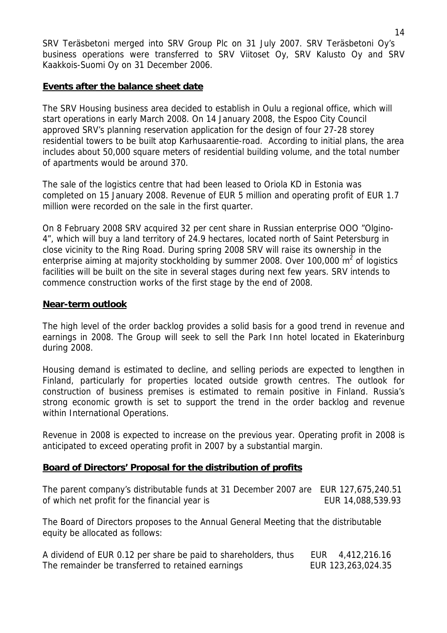SRV Teräsbetoni merged into SRV Group Plc on 31 July 2007. SRV Teräsbetoni Oy's business operations were transferred to SRV Viitoset Oy, SRV Kalusto Oy and SRV Kaakkois-Suomi Oy on 31 December 2006.

# **Events after the balance sheet date**

The SRV Housing business area decided to establish in Oulu a regional office, which will start operations in early March 2008. On 14 January 2008, the Espoo City Council approved SRV's planning reservation application for the design of four 27-28 storey residential towers to be built atop Karhusaarentie-road. According to initial plans, the area includes about 50,000 square meters of residential building volume, and the total number of apartments would be around 370.

The sale of the logistics centre that had been leased to Oriola KD in Estonia was completed on 15 January 2008. Revenue of EUR 5 million and operating profit of EUR 1.7 million were recorded on the sale in the first quarter.

On 8 February 2008 SRV acquired 32 per cent share in Russian enterprise OOO "Olgino-4", which will buy a land territory of 24.9 hectares, located north of Saint Petersburg in close vicinity to the Ring Road. During spring 2008 SRV will raise its ownership in the enterprise aiming at majority stockholding by summer 2008. Over 100,000 m<sup>2</sup> of logistics facilities will be built on the site in several stages during next few years. SRV intends to commence construction works of the first stage by the end of 2008.

## **Near-term outlook**

The high level of the order backlog provides a solid basis for a good trend in revenue and earnings in 2008. The Group will seek to sell the Park Inn hotel located in Ekaterinburg during 2008.

Housing demand is estimated to decline, and selling periods are expected to lengthen in Finland, particularly for properties located outside growth centres. The outlook for construction of business premises is estimated to remain positive in Finland. Russia's strong economic growth is set to support the trend in the order backlog and revenue within International Operations.

Revenue in 2008 is expected to increase on the previous year. Operating profit in 2008 is anticipated to exceed operating profit in 2007 by a substantial margin.

## **Board of Directors' Proposal for the distribution of profits**

The parent company's distributable funds at 31 December 2007 are EUR 127,675,240.51 of which net profit for the financial year is EUR 14,088,539.93

The Board of Directors proposes to the Annual General Meeting that the distributable equity be allocated as follows:

| A dividend of EUR 0.12 per share be paid to shareholders, thus | EUR 4,412,216.16   |
|----------------------------------------------------------------|--------------------|
| The remainder be transferred to retained earnings              | EUR 123,263,024.35 |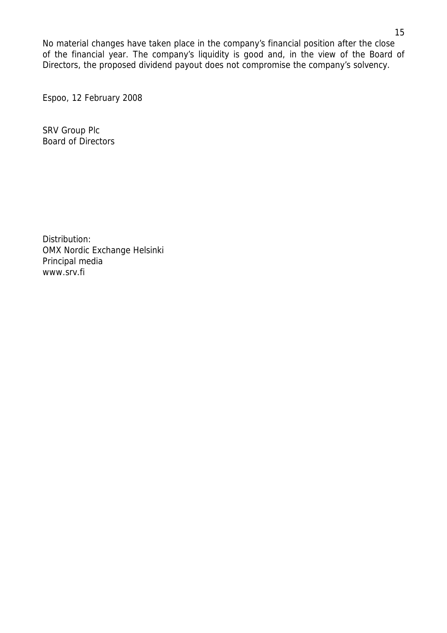No material changes have taken place in the company's financial position after the close of the financial year. The company's liquidity is good and, in the view of the Board of Directors, the proposed dividend payout does not compromise the company's solvency.

Espoo, 12 February 2008

SRV Group Plc Board of Directors

Distribution: OMX Nordic Exchange Helsinki Principal media www.srv.fi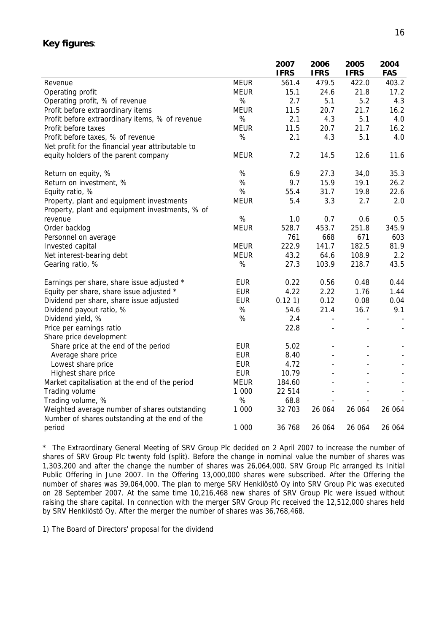#### **Key figures**:

|                                                                                                 |             | 2007        | 2006                     | 2005           | 2004       |
|-------------------------------------------------------------------------------------------------|-------------|-------------|--------------------------|----------------|------------|
|                                                                                                 |             | <b>IFRS</b> | <b>IFRS</b>              | <b>IFRS</b>    | <b>FAS</b> |
| Revenue                                                                                         | <b>MEUR</b> | 561.4       | 479.5                    | 422.0          | 403.2      |
| Operating profit                                                                                | <b>MEUR</b> | 15.1        | 24.6                     | 21.8           | 17.2       |
| Operating profit, % of revenue                                                                  | %           | 2.7         | 5.1                      | 5.2            | 4.3        |
| Profit before extraordinary items                                                               | <b>MEUR</b> | 11.5        | 20.7                     | 21.7           | 16.2       |
| Profit before extraordinary items, % of revenue                                                 | $\%$        | 2.1         | 4.3                      | 5.1            | 4.0        |
| Profit before taxes                                                                             | MEUR        | 11.5        | 20.7                     | 21.7           | 16.2       |
| Profit before taxes, % of revenue                                                               | $\%$        | 2.1         | 4.3                      | 5.1            | 4.0        |
| Net profit for the financial year attributable to                                               |             |             |                          |                |            |
| equity holders of the parent company                                                            | <b>MEUR</b> | 7.2         | 14.5                     | 12.6           | 11.6       |
| Return on equity, %                                                                             | %           | 6.9         | 27.3                     | 34,0           | 35.3       |
| Return on investment, %                                                                         | %           | 9.7         | 15.9                     | 19.1           | 26.2       |
| Equity ratio, %                                                                                 | %           | 55.4        | 31.7                     | 19.8           | 22.6       |
| Property, plant and equipment investments                                                       | <b>MEUR</b> | 5.4         | 3.3                      | 2.7            | 2.0        |
| Property, plant and equipment investments, % of                                                 |             |             |                          |                |            |
| revenue                                                                                         | $\%$        | 1.0         | 0.7                      | 0.6            | 0.5        |
| Order backlog                                                                                   | <b>MEUR</b> | 528.7       | 453.7                    | 251.8          | 345.9      |
| Personnel on average                                                                            |             | 761         | 668                      | 671            | 603        |
| Invested capital                                                                                | <b>MEUR</b> | 222.9       | 141.7                    | 182.5          | 81.9       |
| Net interest-bearing debt                                                                       | <b>MEUR</b> | 43.2        | 64.6                     | 108.9          | 2.2        |
| Gearing ratio, %                                                                                | %           | 27.3        | 103.9                    | 218.7          | 43.5       |
| Earnings per share, share issue adjusted *                                                      | <b>EUR</b>  | 0.22        | 0.56                     | 0.48           | 0.44       |
| Equity per share, share issue adjusted *                                                        | <b>EUR</b>  | 4.22        | 2.22                     | 1.76           | 1.44       |
| Dividend per share, share issue adjusted                                                        | <b>EUR</b>  | 0.121       | 0.12                     | 0.08           | 0.04       |
| Dividend payout ratio, %                                                                        | %           | 54.6        | 21.4                     | 16.7           | 9.1        |
| Dividend yield, %                                                                               | $\%$        | 2.4         | $\overline{\phantom{a}}$ |                |            |
| Price per earnings ratio                                                                        |             | 22.8        | $\overline{\phantom{a}}$ | $\blacksquare$ |            |
| Share price development                                                                         |             |             |                          |                |            |
| Share price at the end of the period                                                            | <b>EUR</b>  | 5.02        |                          |                |            |
| Average share price                                                                             | <b>EUR</b>  | 8.40        |                          |                |            |
| Lowest share price                                                                              | <b>EUR</b>  | 4.72        |                          |                |            |
| Highest share price                                                                             | <b>EUR</b>  | 10.79       |                          |                |            |
| Market capitalisation at the end of the period                                                  | <b>MEUR</b> | 184.60      |                          |                |            |
| Trading volume                                                                                  | 1 000       | 22 5 14     |                          |                |            |
| Trading volume, %                                                                               | $\%$        | 68.8        |                          |                |            |
| Weighted average number of shares outstanding<br>Number of shares outstanding at the end of the | 1 000       | 32 703      | 26 064                   | 26 064         | 26 064     |
| period                                                                                          | 1 000       | 36 768      | 26 064                   | 26 064         | 26 064     |

\* The Extraordinary General Meeting of SRV Group Plc decided on 2 April 2007 to increase the number of shares of SRV Group Plc twenty fold (split). Before the change in nominal value the number of shares was 1,303,200 and after the change the number of shares was 26,064,000. SRV Group Plc arranged its Initial Public Offering in June 2007. In the Offering 13,000,000 shares were subscribed. After the Offering the number of shares was 39,064,000. The plan to merge SRV Henkilöstö Oy into SRV Group Plc was executed on 28 September 2007. At the same time 10,216,468 new shares of SRV Group Plc were issued without raising the share capital. In connection with the merger SRV Group Plc received the 12,512,000 shares held by SRV Henkilöstö Oy. After the merger the number of shares was 36,768,468.

1) The Board of Directors' proposal for the dividend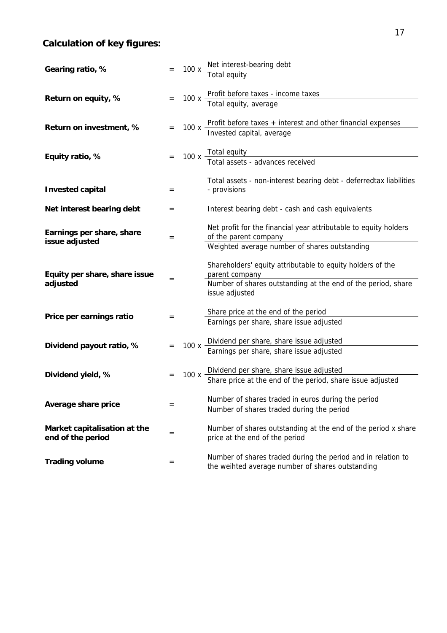# **Calculation of key figures:**

| Gearing ratio, %                                  |     |      | 100 x Net interest-bearing debt<br>Total equity                                                                  |
|---------------------------------------------------|-----|------|------------------------------------------------------------------------------------------------------------------|
|                                                   |     |      |                                                                                                                  |
| Return on equity, %                               |     |      | 100 x Profit before taxes - income taxes<br>Total equity, average                                                |
| Return on investment, %                           |     |      | 100 x Profit before taxes + interest and other financial expenses<br>Invested capital, average                   |
|                                                   |     |      |                                                                                                                  |
| Equity ratio, %                                   |     |      | 100 x Total equity<br>Total assets - advances received                                                           |
|                                                   |     |      |                                                                                                                  |
| <b>Invested capital</b>                           | $=$ |      | Total assets - non-interest bearing debt - deferredtax liabilities<br>- provisions                               |
| Net interest bearing debt                         | $=$ |      | Interest bearing debt - cash and cash equivalents                                                                |
| Earnings per share, share<br>issue adjusted       | $=$ |      | Net profit for the financial year attributable to equity holders<br>of the parent company                        |
|                                                   |     |      | Weighted average number of shares outstanding                                                                    |
| Equity per share, share issue                     | $=$ |      | Shareholders' equity attributable to equity holders of the<br>parent company                                     |
| adjusted                                          |     |      | Number of shares outstanding at the end of the period, share<br>issue adjusted                                   |
|                                                   |     |      | Share price at the end of the period                                                                             |
| Price per earnings ratio                          | $=$ |      | Earnings per share, share issue adjusted                                                                         |
|                                                   |     |      |                                                                                                                  |
| Dividend payout ratio, %                          |     |      | 100 x Dividend per share, share issue adjusted<br>Earnings per share, share issue adjusted                       |
|                                                   |     |      |                                                                                                                  |
| Dividend yield, %                                 |     | 100x | Dividend per share, share issue adjusted<br>Share price at the end of the period, share issue adjusted           |
|                                                   |     |      | Number of shares traded in euros during the period                                                               |
| Average share price                               | $=$ |      | Number of shares traded during the period                                                                        |
| Market capitalisation at the<br>end of the period | $=$ |      | Number of shares outstanding at the end of the period x share<br>price at the end of the period                  |
| <b>Trading volume</b>                             | =   |      | Number of shares traded during the period and in relation to<br>the weihted average number of shares outstanding |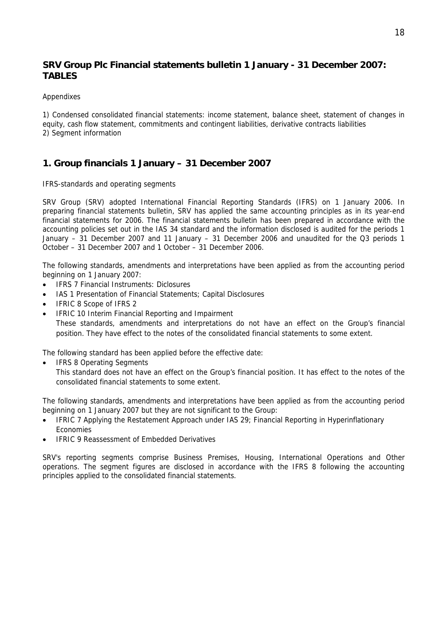# **SRV Group Plc Financial statements bulletin 1 January - 31 December 2007: TABLES**

#### **Appendixes**

1) Condensed consolidated financial statements: income statement, balance sheet, statement of changes in equity, cash flow statement, commitments and contingent liabilities, derivative contracts liabilities 2) Segment information

# **1. Group financials 1 January – 31 December 2007**

IFRS-standards and operating segments

SRV Group (SRV) adopted International Financial Reporting Standards (IFRS) on 1 January 2006. In preparing financial statements bulletin, SRV has applied the same accounting principles as in its year-end financial statements for 2006. The financial statements bulletin has been prepared in accordance with the accounting policies set out in the IAS 34 standard and the information disclosed is audited for the periods 1 January – 31 December 2007 and 11 January – 31 December 2006 and unaudited for the Q3 periods 1 October – 31 December 2007 and 1 October – 31 December 2006.

The following standards, amendments and interpretations have been applied as from the accounting period beginning on 1 January 2007:

- IFRS 7 Financial Instruments: Diclosures
- IAS 1 Presentation of Financial Statements; Capital Disclosures
- IFRIC 8 Scope of IFRS 2
- IFRIC 10 Interim Financial Reporting and Impairment These standards, amendments and interpretations do not have an effect on the Group's financial position. They have effect to the notes of the consolidated financial statements to some extent.

The following standard has been applied before the effective date:

• IFRS 8 Operating Segments

This standard does not have an effect on the Group's financial position. It has effect to the notes of the consolidated financial statements to some extent.

The following standards, amendments and interpretations have been applied as from the accounting period beginning on 1 January 2007 but they are not significant to the Group:

- IFRIC 7 Applying the Restatement Approach under IAS 29; Financial Reporting in Hyperinflationary Economies
- IFRIC 9 Reassessment of Embedded Derivatives

SRV's reporting segments comprise Business Premises, Housing, International Operations and Other operations. The segment figures are disclosed in accordance with the IFRS 8 following the accounting principles applied to the consolidated financial statements.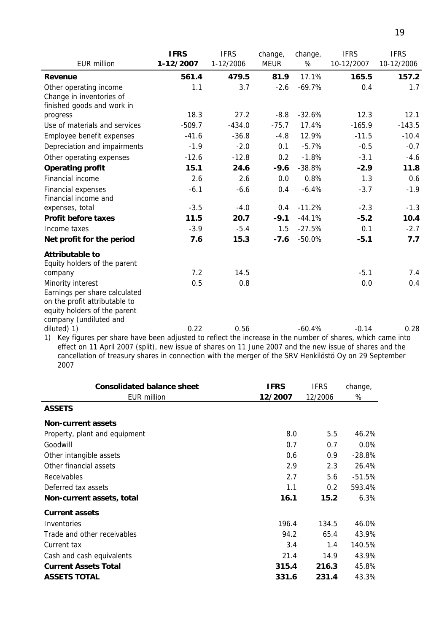|                                                                                                              | <b>IFRS</b> | <b>IFRS</b> | change,     | change,  | <b>IFRS</b> | <b>IFRS</b> |
|--------------------------------------------------------------------------------------------------------------|-------------|-------------|-------------|----------|-------------|-------------|
| EUR million                                                                                                  | 1-12/2007   | 1-12/2006   | <b>MEUR</b> | %        | 10-12/2007  | 10-12/2006  |
| Revenue                                                                                                      | 561.4       | 479.5       | 81.9        | 17.1%    | 165.5       | 157.2       |
| Other operating income                                                                                       | 1.1         | 3.7         | $-2.6$      | $-69.7%$ | 0.4         | 1.7         |
| Change in inventories of                                                                                     |             |             |             |          |             |             |
| finished goods and work in                                                                                   |             |             |             |          |             |             |
| progress                                                                                                     | 18.3        | 27.2        | $-8.8$      | $-32.6%$ | 12.3        | 12.1        |
| Use of materials and services                                                                                | $-509.7$    | $-434.0$    | $-75.7$     | 17.4%    | $-165.9$    | $-143.5$    |
| Employee benefit expenses                                                                                    | $-41.6$     | $-36.8$     | $-4.8$      | 12.9%    | $-11.5$     | $-10.4$     |
| Depreciation and impairments                                                                                 | $-1.9$      | $-2.0$      | 0.1         | $-5.7%$  | $-0.5$      | $-0.7$      |
| Other operating expenses                                                                                     | $-12.6$     | $-12.8$     | 0.2         | $-1.8%$  | $-3.1$      | $-4.6$      |
| <b>Operating profit</b>                                                                                      | 15.1        | 24.6        | $-9.6$      | $-38.8%$ | $-2.9$      | 11.8        |
| Financial income                                                                                             | 2.6         | 2.6         | 0.0         | 0.8%     | 1.3         | 0.6         |
| Financial expenses                                                                                           | $-6.1$      | $-6.6$      | 0.4         | $-6.4%$  | $-3.7$      | $-1.9$      |
| Financial income and                                                                                         |             |             |             |          |             |             |
| expenses, total                                                                                              | $-3.5$      | $-4.0$      | 0.4         | $-11.2%$ | $-2.3$      | $-1.3$      |
| <b>Profit before taxes</b>                                                                                   | 11.5        | 20.7        | $-9.1$      | $-44.1%$ | $-5.2$      | 10.4        |
| Income taxes                                                                                                 | $-3.9$      | $-5.4$      | 1.5         | $-27.5%$ | 0.1         | $-2.7$      |
| Net profit for the period                                                                                    | 7.6         | 15.3        | $-7.6$      | $-50.0%$ | $-5.1$      | 7.7         |
| <b>Attributable to</b>                                                                                       |             |             |             |          |             |             |
| Equity holders of the parent                                                                                 |             |             |             |          |             |             |
| company                                                                                                      | 7.2         | 14.5        |             |          | $-5.1$      | 7.4         |
| Minority interest                                                                                            | 0.5         | 0.8         |             |          | 0.0         | 0.4         |
| Earnings per share calculated                                                                                |             |             |             |          |             |             |
| on the profit attributable to                                                                                |             |             |             |          |             |             |
| equity holders of the parent                                                                                 |             |             |             |          |             |             |
| company (undiluted and                                                                                       |             |             |             |          |             |             |
| diluted) 1)                                                                                                  | 0.22        | 0.56        |             | $-60.4%$ | $-0.14$     | 0.28        |
| 1) Key figures per share have been adjusted to reflect the increase in the number of shares, which came into |             |             |             |          |             |             |

1) Key figures per share have been adjusted to reflect the increase in the number of shares, which came into effect on 11 April 2007 (split), new issue of shares on 11 June 2007 and the new issue of shares and the cancellation of treasury shares in connection with the merger of the SRV Henkilöstö Oy on 29 September 2007

| <b>Consolidated balance sheet</b> | <b>IFRS</b> | <b>IFRS</b> | change,  |
|-----------------------------------|-------------|-------------|----------|
| EUR million                       | 12/2007     | 12/2006     | %        |
| <b>ASSETS</b>                     |             |             |          |
| <b>Non-current assets</b>         |             |             |          |
| Property, plant and equipment     | 8.0         | 5.5         | 46.2%    |
| Goodwill                          | 0.7         | 0.7         | $0.0\%$  |
| Other intangible assets           | 0.6         | 0.9         | $-28.8%$ |
| Other financial assets            | 2.9         | 2.3         | 26.4%    |
| <b>Receivables</b>                | 2.7         | 5.6         | $-51.5%$ |
| Deferred tax assets               | 1.1         | 0.2         | 593.4%   |
| Non-current assets, total         | 16.1        | 15.2        | 6.3%     |
| <b>Current assets</b>             |             |             |          |
| Inventories                       | 196.4       | 134.5       | 46.0%    |
| Trade and other receivables       | 94.2        | 65.4        | 43.9%    |
| Current tax                       | 3.4         | 1.4         | 140.5%   |
| Cash and cash equivalents         | 21.4        | 14.9        | 43.9%    |
| <b>Current Assets Total</b>       | 315.4       | 216.3       | 45.8%    |
| <b>ASSETS TOTAL</b>               | 331.6       | 231.4       | 43.3%    |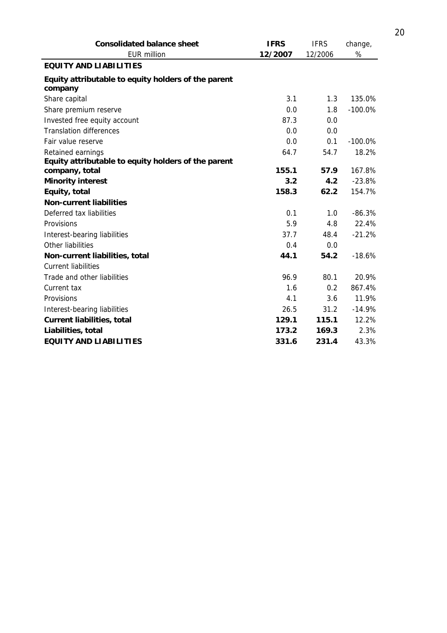| <b>Consolidated balance sheet</b>                              | <b>IFRS</b> | <b>IFRS</b> | change,    |
|----------------------------------------------------------------|-------------|-------------|------------|
| <b>EUR million</b>                                             | 12/2007     | 12/2006     | %          |
| <b>EQUITY AND LIABILITIES</b>                                  |             |             |            |
| Equity attributable to equity holders of the parent<br>company |             |             |            |
| Share capital                                                  | 3.1         | 1.3         | 135.0%     |
| Share premium reserve                                          | 0.0         | 1.8         | $-100.0%$  |
| Invested free equity account                                   | 87.3        | 0.0         |            |
| <b>Translation differences</b>                                 | 0.0         | 0.0         |            |
| Fair value reserve                                             | 0.0         | 0.1         | $-100.0\%$ |
| Retained earnings                                              | 64.7        | 54.7        | 18.2%      |
| Equity attributable to equity holders of the parent            |             |             |            |
| company, total                                                 | 155.1       | 57.9        | 167.8%     |
| <b>Minority interest</b>                                       | 3.2         | 4.2         | $-23.8%$   |
| Equity, total                                                  | 158.3       | 62.2        | 154.7%     |
| <b>Non-current liabilities</b>                                 |             |             |            |
| Deferred tax liabilities                                       | 0.1         | 1.0         | $-86.3%$   |
| Provisions                                                     | 5.9         | 4.8         | 22.4%      |
| Interest-bearing liabilities                                   | 37.7        | 48.4        | $-21.2%$   |
| Other liabilities                                              | 0.4         | 0.0         |            |
| Non-current liabilities, total                                 | 44.1        | 54.2        | $-18.6%$   |
| <b>Current liabilities</b>                                     |             |             |            |
| Trade and other liabilities                                    | 96.9        | 80.1        | 20.9%      |
| Current tax                                                    | 1.6         | 0.2         | 867.4%     |
| Provisions                                                     | 4.1         | 3.6         | 11.9%      |
| Interest-bearing liabilities                                   | 26.5        | 31.2        | $-14.9%$   |
| <b>Current liabilities, total</b>                              | 129.1       | 115.1       | 12.2%      |
| Liabilities, total                                             | 173.2       | 169.3       | 2.3%       |
| <b>EQUITY AND LIABILITIES</b>                                  | 331.6       | 231.4       | 43.3%      |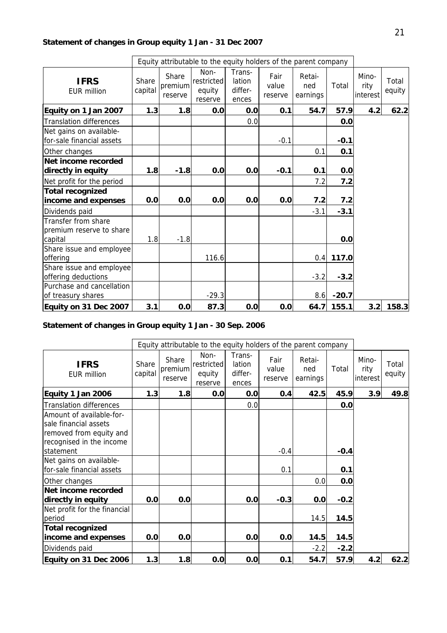# **Statement of changes in Group equity 1 Jan - 31 Dec 2007**

|                                                            |                  |                             | Equity attributable to the equity holders of the parent company |                                      |                          |                           |             |                           |                 |
|------------------------------------------------------------|------------------|-----------------------------|-----------------------------------------------------------------|--------------------------------------|--------------------------|---------------------------|-------------|---------------------------|-----------------|
| <b>IFRS</b><br>FUR million                                 | Share<br>capital | Share<br>premium<br>reserve | Non-<br>restricted<br>equity<br>reserve                         | Trans-<br>lation<br>differ-<br>ences | Fair<br>value<br>reserve | Retai-<br>ned<br>earnings | Total       | Mino-<br>rity<br>interest | Total<br>equity |
| Equity on 1 Jan 2007                                       | 1.3              | 1.8                         | 0.0                                                             | 0.0                                  | 0.1                      | 54.7                      | 57.9        | 4.2                       | 62.2            |
| <b>Translation differences</b>                             |                  |                             |                                                                 | 0.0                                  |                          |                           | 0.0         |                           |                 |
| Net gains on available-<br>for-sale financial assets       |                  |                             |                                                                 |                                      | $-0.1$                   |                           | $-0.1$      |                           |                 |
| Other changes                                              |                  |                             |                                                                 |                                      |                          | 0.1                       | 0.1         |                           |                 |
| Net income recorded<br>directly in equity                  | 1.8              | $-1.8$                      | 0.0                                                             | 0.0                                  | $-0.1$                   | 0.1                       | 0.0         |                           |                 |
| Net profit for the period                                  |                  |                             |                                                                 |                                      |                          | 7.2                       | 7.2         |                           |                 |
| <b>Total recognized</b>                                    |                  |                             |                                                                 |                                      |                          |                           |             |                           |                 |
| income and expenses                                        | 0.0              | 0.0                         | 0.0                                                             | 0.0                                  | 0.0                      | 7.2                       | 7.2         |                           |                 |
| Dividends paid                                             |                  |                             |                                                                 |                                      |                          | $-3.1$                    | $-3.1$      |                           |                 |
| Transfer from share<br>premium reserve to share<br>capital | 1.8              | $-1.8$                      |                                                                 |                                      |                          |                           | 0.0         |                           |                 |
| Share issue and employee<br>offering                       |                  |                             | 116.6                                                           |                                      |                          |                           | $0.4$ 117.0 |                           |                 |
| Share issue and employee<br>offering deductions            |                  |                             |                                                                 |                                      |                          | $-3.2$                    | $-3.2$      |                           |                 |
| Purchase and cancellation<br>of treasury shares            |                  |                             | $-29.3$                                                         |                                      |                          | 8.6                       | $-20.7$     |                           |                 |
| Equity on 31 Dec 2007                                      | 3.1              | 0.0                         | 87.3                                                            | 0.0                                  | 0.0                      | 64.7                      | 155.1       | 3.2                       | 158.3           |

# **Statement of changes in Group equity 1 Jan - 30 Sep. 2006**

|                                                                                                                       |                  |                             | Equity attributable to the equity holders of the parent company |                                      |                          |                           |        |                           |                 |
|-----------------------------------------------------------------------------------------------------------------------|------------------|-----------------------------|-----------------------------------------------------------------|--------------------------------------|--------------------------|---------------------------|--------|---------------------------|-----------------|
| <b>IFRS</b><br><b>EUR million</b>                                                                                     | Share<br>capital | Share<br>premium<br>reserve | Non-<br>restricted<br>equity<br>reserve                         | Trans-<br>lation<br>differ-<br>ences | Fair<br>value<br>reserve | Retai-<br>ned<br>earnings | Total  | Mino-<br>rity<br>interest | Total<br>equity |
| Equity 1 Jan 2006                                                                                                     | 1.3              | 1.8                         | 0.0                                                             | 0.0                                  | 0.4                      | 42.5                      | 45.9   | 3.9                       | 49.8            |
| <b>Translation differences</b>                                                                                        |                  |                             |                                                                 | 0.0                                  |                          |                           | 0.0    |                           |                 |
| Amount of available-for-<br>sale financial assets<br>removed from equity and<br>recognised in the income<br>statement |                  |                             |                                                                 |                                      | $-0.4$                   |                           | $-0.4$ |                           |                 |
| Net gains on available-<br>for-sale financial assets                                                                  |                  |                             |                                                                 |                                      | 0.1                      |                           | 0.1    |                           |                 |
| Other changes                                                                                                         |                  |                             |                                                                 |                                      |                          | 0.0                       | 0.0    |                           |                 |
| Net income recorded<br>directly in equity                                                                             | 0.0              | 0.0                         |                                                                 | 0.0                                  | $-0.3$                   | 0.0                       | $-0.2$ |                           |                 |
| Net profit for the financial<br>period                                                                                |                  |                             |                                                                 |                                      |                          | 14.5                      | 14.5   |                           |                 |
| <b>Total recognized</b><br>income and expenses                                                                        | 0.0              | 0.0                         |                                                                 | 0.0                                  | 0.0                      | 14.5                      | 14.5   |                           |                 |
| Dividends paid                                                                                                        |                  |                             |                                                                 |                                      |                          | $-2.2$                    | $-2.2$ |                           |                 |
| Equity on 31 Dec 2006                                                                                                 | 1.3              | 1.8                         | 0.0                                                             | 0.0                                  | 0.1                      | 54.7                      | 57.9   | 4.2                       | 62.2            |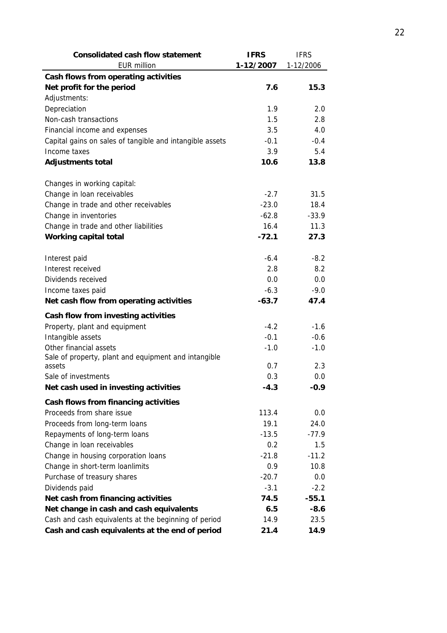| <b>Consolidated cash flow statement</b>                  | <b>IFRS</b> | <b>IFRS</b> |
|----------------------------------------------------------|-------------|-------------|
| <b>EUR million</b>                                       | 1-12/2007   | 1-12/2006   |
| Cash flows from operating activities                     |             |             |
| Net profit for the period                                | 7.6         | 15.3        |
| Adjustments:                                             |             |             |
| Depreciation                                             | 1.9         | 2.0         |
| Non-cash transactions                                    | 1.5         | 2.8         |
| Financial income and expenses                            | 3.5         | 4.0         |
| Capital gains on sales of tangible and intangible assets | $-0.1$      | $-0.4$      |
| Income taxes                                             | 3.9         | 5.4         |
| <b>Adjustments total</b>                                 | 10.6        | 13.8        |
|                                                          |             |             |
| Changes in working capital:                              |             |             |
| Change in loan receivables                               | $-2.7$      | 31.5        |
| Change in trade and other receivables                    | $-23.0$     | 18.4        |
| Change in inventories                                    | $-62.8$     | $-33.9$     |
| Change in trade and other liabilities                    | 16.4        | 11.3        |
| Working capital total                                    | $-72.1$     | 27.3        |
|                                                          |             |             |
| Interest paid                                            | $-6.4$      | $-8.2$      |
| Interest received                                        | 2.8         | 8.2         |
| Dividends received                                       | 0.0         | 0.0         |
| Income taxes paid                                        | $-6.3$      | $-9.0$      |
| Net cash flow from operating activities                  | $-63.7$     | 47.4        |
| Cash flow from investing activities                      |             |             |
| Property, plant and equipment                            | $-4.2$      | $-1.6$      |
| Intangible assets                                        | $-0.1$      | $-0.6$      |
| Other financial assets                                   | $-1.0$      | $-1.0$      |
| Sale of property, plant and equipment and intangible     |             |             |
| assets                                                   | 0.7         | 2.3         |
| Sale of investments                                      | 0.3         | 0.0         |
| Net cash used in investing activities                    | 4.3         | -0.9        |
| Cash flows from financing activities                     |             |             |
| Proceeds from share issue                                | 113.4       | 0.0         |
| Proceeds from long-term loans                            | 19.1        | 24.0        |
| Repayments of long-term loans                            | $-13.5$     | $-77.9$     |
| Change in loan receivables                               | 0.2         | 1.5         |
| Change in housing corporation loans                      | $-21.8$     | $-11.2$     |
| Change in short-term loanlimits                          | 0.9         | 10.8        |
| Purchase of treasury shares                              | $-20.7$     | 0.0         |
| Dividends paid                                           | $-3.1$      | $-2.2$      |
| Net cash from financing activities                       | 74.5        | $-55.1$     |
| Net change in cash and cash equivalents                  | 6.5         | $-8.6$      |
| Cash and cash equivalents at the beginning of period     | 14.9        | 23.5        |
| Cash and cash equivalents at the end of period           | 21.4        | 14.9        |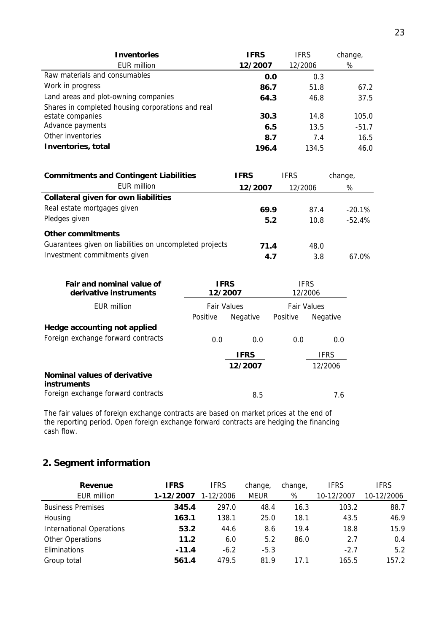| <b>Inventories</b>                                | <b>IFRS</b> | <b>IFRS</b> | change, |
|---------------------------------------------------|-------------|-------------|---------|
| EUR million                                       | 12/2007     | 12/2006     | %       |
| Raw materials and consumables                     | 0.0         | 0.3         |         |
| Work in progress                                  | 86.7        | 51.8        | 67.2    |
| Land areas and plot-owning companies              | 64.3        | 46.8        | 37.5    |
| Shares in completed housing corporations and real |             |             |         |
| estate companies                                  | 30.3        | 14.8        | 105.0   |
| Advance payments                                  | 6.5         | 13.5        | $-51.7$ |
| Other inventories                                 | 8.7         | 7.4         | 16.5    |
| Inventories, total                                | 196.4       | 134.5       | 46.0    |

| <b>Commitments and Contingent Liabilities</b>           | <b>IFRS</b> | <b>IFRS</b> | change,   |
|---------------------------------------------------------|-------------|-------------|-----------|
| EUR million                                             | 12/2007     | 12/2006     | %         |
| Collateral given for own liabilities                    |             |             |           |
| Real estate mortgages given                             | 69.9        | 87.4        | $-20.1\%$ |
| Pledges given                                           | 5.2         | 10.8        | $-52.4%$  |
| Other commitments                                       |             |             |           |
| Guarantees given on liabilities on uncompleted projects | 71.4        | 48.0        |           |
| Investment commitments given                            | 4.7         | 3.8         | 67.0%     |

| <b>Fair and nominal value of</b><br>derivative instruments | <b>IFRS</b><br>12/2007 |                    | <b>IFRS</b><br>12/2006 |                 |
|------------------------------------------------------------|------------------------|--------------------|------------------------|-----------------|
| FUR million                                                |                        | <b>Fair Values</b> | <b>Fair Values</b>     |                 |
|                                                            | Positive               | Negative           | Positive               | <b>Negative</b> |
| Hedge accounting not applied                               |                        |                    |                        |                 |
| Foreign exchange forward contracts                         | 0.0                    | 0.0                | 0.0                    | 0.0             |
|                                                            |                        | <b>IFRS</b>        |                        | <b>IFRS</b>     |
|                                                            |                        | 12/2007            |                        | 12/2006         |
| Nominal values of derivative<br>instruments                |                        |                    |                        |                 |
| Foreign exchange forward contracts                         |                        | 8.5                |                        | 7.6             |

The fair values of foreign exchange contracts are based on market prices at the end of the reporting period. Open foreign exchange forward contracts are hedging the financing the reporting period. Open foreign exchange forward contracts are hedging the financing cash flow.

# **2. Segment information**

| Revenue                         | <b>IFRS</b> | <b>IFRS</b> | change,     | change, | <b>IFRS</b> | <b>IFRS</b> |
|---------------------------------|-------------|-------------|-------------|---------|-------------|-------------|
| <b>EUR million</b>              | 1-12/2007   | 1-12/2006   | <b>MEUR</b> | %       | 10-12/2007  | 10-12/2006  |
| <b>Business Premises</b>        | 345.4       | 297.0       | 48.4        | 16.3    | 103.2       | 88.7        |
| Housing                         | 163.1       | 138.1       | 25.0        | 18.1    | 43.5        | 46.9        |
| <b>International Operations</b> | 53.2        | 44.6        | 8.6         | 19.4    | 18.8        | 15.9        |
| Other Operations                | 11.2        | 6.0         | 5.2         | 86.0    | 2.7         | 0.4         |
| Eliminations                    | $-11.4$     | $-6.2$      | $-5.3$      |         | $-2.7$      | 5.2         |
| Group total                     | 561.4       | 479.5       | 81.9        | 17 1    | 165.5       | 157.2       |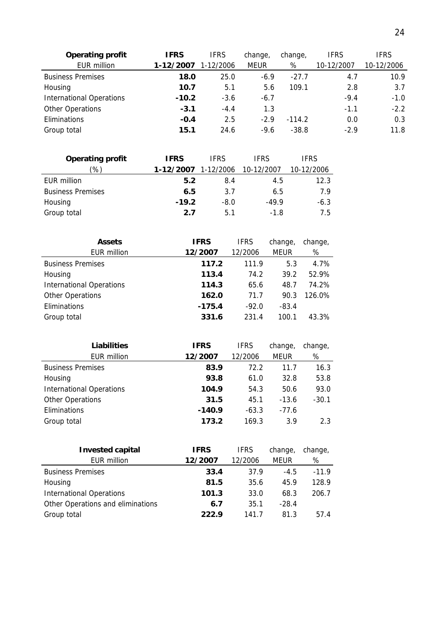| <b>Operating profit</b>         | <b>IFRS</b> | <b>IFRS</b> | change, | change,  | <b>IFRS</b> | <b>IFRS</b> |
|---------------------------------|-------------|-------------|---------|----------|-------------|-------------|
| <b>EUR million</b>              | 1-12/2007   | 1-12/2006   | MEUR    | %        | 10-12/2007  | 10-12/2006  |
| <b>Business Premises</b>        | 18.0        | 25.0        | $-6.9$  | $-27.7$  | 4.7         | 10.9        |
| Housing                         | 10.7        | 5.1         | 5.6     | 109.1    | 2.8         | 3.7         |
| <b>International Operations</b> | $-10.2$     | $-3.6$      | $-6.7$  |          | $-9.4$      | $-1.0$      |
| Other Operations                | $-3.1$      | $-4.4$      | 1.3     |          | $-1.1$      | $-2.2$      |
| Eliminations                    | $-0.4$      | 2.5         | $-2.9$  | $-114.2$ | 0.0         | 0.3         |
| Group total                     | 15.1        | 24.6        | $-9.6$  | $-38.8$  | $-2.9$      | 11.8        |

| <b>Operating profit</b>  | IFRS      | <b>IFRS</b> | <b>IFRS</b> | <b>IFRS</b> |
|--------------------------|-----------|-------------|-------------|-------------|
| '%)                      | 1-12/2007 | 1-12/2006   | 10-12/2007  | 10-12/2006  |
| EUR million              | 5.2       | 8.4         | 4.5         | 12.3        |
| <b>Business Premises</b> | 6.5       | 3.7         | 6.5         | 7.9         |
| Housing                  | $-19.2$   | $-8.0$      | $-49.9$     | $-6.3$      |
| Group total              | 2.7       | 5.1         | $-1.8$      | 7.5         |

| <b>Assets</b>                   | <b>IFRS</b> | <b>IFRS</b> | change,     | change, |
|---------------------------------|-------------|-------------|-------------|---------|
| <b>EUR million</b>              | 12/2007     | 12/2006     | <b>MEUR</b> | %       |
| <b>Business Premises</b>        | 117.2       | 111.9       | 5.3         | 4.7%    |
| Housing                         | 113.4       | 74.2        | 39.2        | 52.9%   |
| <b>International Operations</b> | 114.3       | 65.6        | 48.7        | 74.2%   |
| <b>Other Operations</b>         | 162.0       | 71.7        | 90.3        | 126.0%  |
| Eliminations                    | $-175.4$    | $-92.0$     | $-83.4$     |         |
| Group total                     | 331.6       | 231.4       | 100.1       | 43.3%   |

| <b>Liabilities</b>              | <b>IFRS</b> | <b>IFRS</b> | change, | change, |
|---------------------------------|-------------|-------------|---------|---------|
| <b>EUR million</b>              | 12/2007     | 12/2006     | MEUR    | %       |
| <b>Business Premises</b>        | 83.9        | 72.2        | 11.7    | 16.3    |
| Housing                         | 93.8        | 61.0        | 32.8    | 53.8    |
| <b>International Operations</b> | 104.9       | 54.3        | 50.6    | 93.0    |
| <b>Other Operations</b>         | 31.5        | 45.1        | $-13.6$ | $-30.1$ |
| Eliminations                    | $-140.9$    | $-63.3$     | $-77.6$ |         |
| Group total                     | 173.2       | 169.3       | 3.9     | 2.3     |

| <b>Invested capital</b>           | <b>IFRS</b> | <b>IFRS</b> | change,     | change, |
|-----------------------------------|-------------|-------------|-------------|---------|
| <b>EUR million</b>                | 12/2007     | 12/2006     | <b>MEUR</b> | %       |
| <b>Business Premises</b>          | 33.4        | 37.9        | $-4.5$      | $-11.9$ |
| Housing                           | 81.5        | 35.6        | 45.9        | 128.9   |
| <b>International Operations</b>   | 101.3       | 33.0        | 68.3        | 206.7   |
| Other Operations and eliminations | 6.7         | 35.1        | $-28.4$     |         |
| Group total                       | 222.9       | 1417        | 81.3        | 57.4    |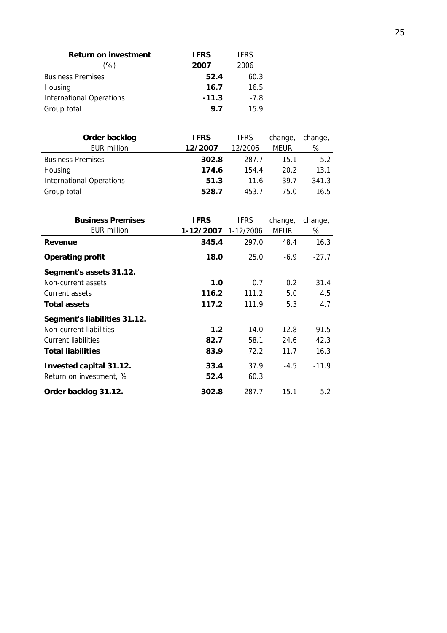| <b>Return on investment</b>     | <b>IFRS</b> | <b>IFRS</b> |
|---------------------------------|-------------|-------------|
| %)                              | 2007        | 2006        |
| <b>Business Premises</b>        | 52.4        | 60.3        |
| Housing                         | 16.7        | 16.5        |
| <b>International Operations</b> | $-11.3$     | $-7.8$      |
| Group total                     | 9.7         | 159         |

| Order backlog                   | <b>IFRS</b> | <b>IFRS</b> | change, | change, |
|---------------------------------|-------------|-------------|---------|---------|
| <b>EUR million</b>              | 12/2007     | 12/2006     | MEUR    | %       |
| <b>Business Premises</b>        | 302.8       | 287.7       | 15.1    | 5.2     |
| Housing                         | 174.6       | 154.4       | 20.2    | 13.1    |
| <b>International Operations</b> | 51.3        | 11.6        | 39.7    | 341.3   |
| Group total                     | 528.7       | 453.7       | 75.0    | 16.5    |

| <b>Business Premises</b><br>EUR million | <b>IFRS</b><br>1-12/2007 | <b>IFRS</b><br>1-12/2006 | change,<br>MEUR | change,<br>% |
|-----------------------------------------|--------------------------|--------------------------|-----------------|--------------|
| Revenue                                 | 345.4                    | 297.0                    | 48.4            | 16.3         |
| <b>Operating profit</b>                 | 18.0                     | 25.0                     | $-6.9$          | $-27.7$      |
| Segment's assets 31.12.                 |                          |                          |                 |              |
| Non-current assets                      | 1.0                      | 0.7                      | 0.2             | 31.4         |
| Current assets                          | 116.2                    | 111.2                    | 5.0             | 4.5          |
| <b>Total assets</b>                     | 117.2                    | 111.9                    | 5.3             | 4.7          |
| Segment's liabilities 31.12.            |                          |                          |                 |              |
| Non-current liabilities                 | 1.2                      | 14.0                     | $-12.8$         | $-91.5$      |
| Current liabilities                     | 82.7                     | 58.1                     | 24.6            | 42.3         |
| <b>Total liabilities</b>                | 83.9                     | 72.2                     | 11.7            | 16.3         |
| Invested capital 31.12.                 | 33.4                     | 37.9                     | $-4.5$          | $-11.9$      |
| Return on investment, %                 | 52.4                     | 60.3                     |                 |              |
| Order backlog 31.12.                    | 302.8                    | 287.7                    | 15.1            | 5.2          |